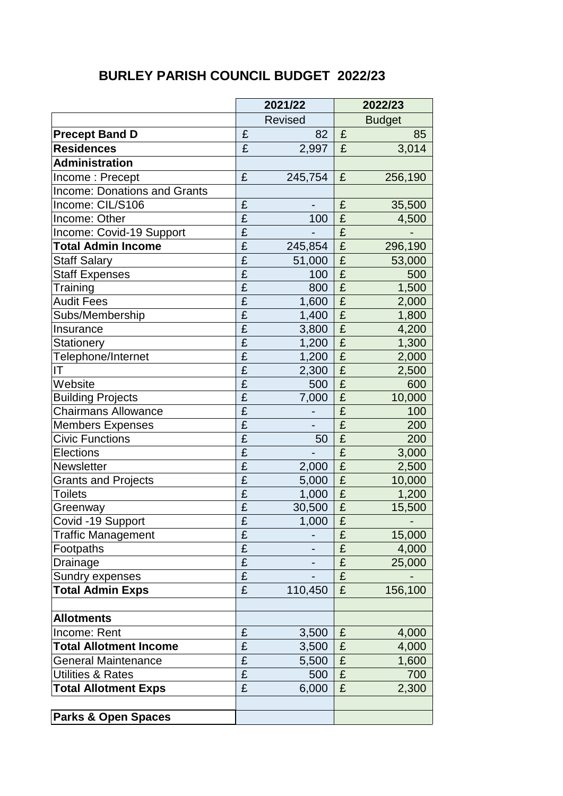## **BURLEY PARISH COUNCIL BUDGET 2022/23**

|                                     | 2021/22                 |                | 2022/23                 |               |
|-------------------------------------|-------------------------|----------------|-------------------------|---------------|
|                                     |                         | <b>Revised</b> |                         | <b>Budget</b> |
| <b>Precept Band D</b>               | £                       | 82             | £                       | 85            |
| <b>Residences</b>                   | £                       | 2,997          | £                       | 3,014         |
| <b>Administration</b>               |                         |                |                         |               |
| Income: Precept                     | £                       | 245,754        | £                       | 256,190       |
| <b>Income: Donations and Grants</b> |                         |                |                         |               |
| Income: CIL/S106                    | £                       |                | £                       | 35,500        |
| Income: Other                       | £                       | 100            | £                       | 4,500         |
| Income: Covid-19 Support            | £                       |                | £                       |               |
| <b>Total Admin Income</b>           | $\overline{\mathbf{f}}$ | 245,854        | £                       | 296,190       |
| <b>Staff Salary</b>                 | $\overline{\mathrm{E}}$ | 51,000         | £                       | 53,000        |
| <b>Staff Expenses</b>               | $\overline{\mathbf{f}}$ | 100            | £                       | 500           |
| Training                            | $\overline{\mathbf{f}}$ | 800            | £                       | 1,500         |
| <b>Audit Fees</b>                   | $\overline{\mathrm{f}}$ | 1,600          | $\overline{\mathbf{f}}$ | 2,000         |
| Subs/Membership                     | $\overline{\mathbf{f}}$ | 1,400          | £                       | 1,800         |
| Insurance                           | $\overline{\mathbf{f}}$ | 3,800          | £                       | 4,200         |
| <b>Stationery</b>                   | $\overline{\mathrm{f}}$ | 1,200          | £                       | 1,300         |
| Telephone/Internet                  | $\overline{\mathbf{f}}$ | 1,200          | £                       | 2,000         |
| IT                                  | $\overline{\mathrm{E}}$ | 2,300          | £                       | 2,500         |
| Website                             | $\overline{\mathbf{f}}$ | 500            | £                       | 600           |
| <b>Building Projects</b>            | $\overline{\mathbf{f}}$ | 7,000          | £                       | 10,000        |
| <b>Chairmans Allowance</b>          | $\overline{\mathrm{f}}$ |                | £                       | 100           |
| <b>Members Expenses</b>             | $\overline{\mathrm{f}}$ |                | £                       | 200           |
| <b>Civic Functions</b>              | $\overline{\mathrm{f}}$ | 50             | £                       | 200           |
| <b>Elections</b>                    | $\overline{E}$          |                | £                       | 3,000         |
| <b>Newsletter</b>                   | £                       | 2,000          | £                       | 2,500         |
| <b>Grants and Projects</b>          | $\overline{\mathbf{f}}$ | 5,000          | £                       | 10,000        |
| <b>Toilets</b>                      | £                       | 1,000          | £                       | 1,200         |
| Greenway                            | $\overline{\mathbf{f}}$ | 30,500         | £                       | 15,500        |
| Covid -19 Support                   | $\overline{\mathbf{f}}$ | 1,000          | $\overline{f}$          |               |
| <b>Traffic Management</b>           | £                       |                | £                       | 15,000        |
| Footpaths                           | £                       |                | £                       | 4,000         |
| Drainage                            | $\overline{\mathbf{f}}$ |                | £                       | 25,000        |
| Sundry expenses                     | £                       |                | £                       |               |
| <b>Total Admin Exps</b>             | £                       | 110,450        | £                       | 156,100       |
|                                     |                         |                |                         |               |
| <b>Allotments</b>                   |                         |                |                         |               |
| Income: Rent                        | £                       | 3,500          | £                       | 4,000         |
| <b>Total Allotment Income</b>       | £                       | 3,500          | £                       | 4,000         |
| <b>General Maintenance</b>          | £                       | 5,500          | £                       | 1,600         |
| <b>Utilities &amp; Rates</b>        | $\overline{\mathbf{f}}$ | 500            | £                       | 700           |
| <b>Total Allotment Exps</b>         | $\overline{\mathbf{f}}$ | 6,000          | £                       | 2,300         |
|                                     |                         |                |                         |               |
| <b>Parks &amp; Open Spaces</b>      |                         |                |                         |               |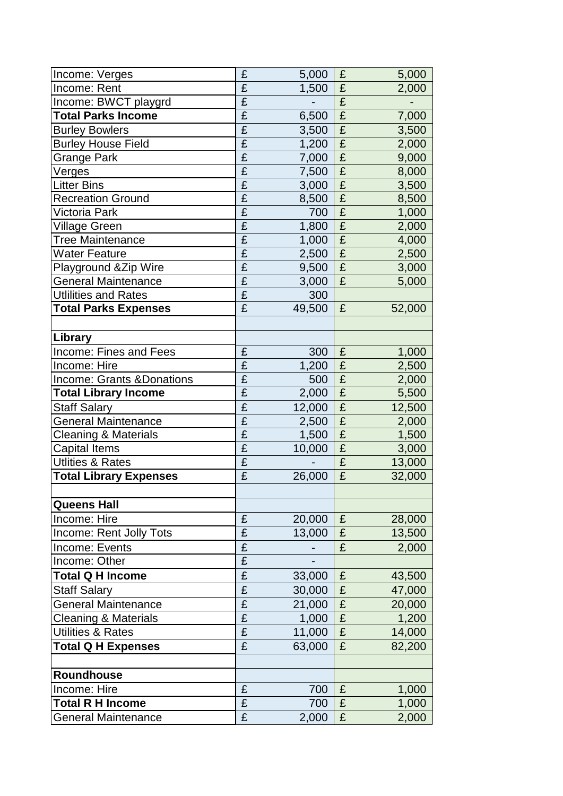| Income: Verges                  | £                       | 5,000  | £                       | 5,000  |
|---------------------------------|-------------------------|--------|-------------------------|--------|
| Income: Rent                    | £                       | 1,500  | £                       | 2,000  |
| Income: BWCT playgrd            | $\overline{\mathbf{f}}$ |        | £                       |        |
| <b>Total Parks Income</b>       | $\overline{\mathrm{f}}$ | 6,500  | £                       | 7,000  |
| <b>Burley Bowlers</b>           | £                       | 3,500  | £                       | 3,500  |
| <b>Burley House Field</b>       | $\overline{\mathbf{f}}$ | 1,200  | £                       | 2,000  |
| <b>Grange Park</b>              | $\overline{\mathbf{f}}$ | 7,000  | £                       | 9,000  |
| Verges                          | $\overline{\mathbf{f}}$ | 7,500  | £                       | 8,000  |
| <b>Litter Bins</b>              | $\overline{\mathbf{f}}$ | 3,000  | $\overline{\mathrm{f}}$ | 3,500  |
| <b>Recreation Ground</b>        | $\overline{\mathbf{f}}$ | 8,500  | £                       | 8,500  |
| Victoria Park                   | $\overline{\mathbf{f}}$ | 700    | £                       | 1,000  |
| <b>Village Green</b>            | $\overline{\mathbf{f}}$ | 1,800  | £                       | 2,000  |
| <b>Tree Maintenance</b>         | £                       | 1,000  | £                       | 4,000  |
| <b>Water Feature</b>            | $\overline{\mathbf{f}}$ | 2,500  | £                       | 2,500  |
| Playground & Zip Wire           | $\overline{\mathbf{f}}$ | 9,500  | £                       | 3,000  |
| <b>General Maintenance</b>      | $\overline{\mathbf{f}}$ | 3,000  | £                       | 5,000  |
| <b>Utlilities and Rates</b>     | $\overline{\mathrm{E}}$ | 300    |                         |        |
| <b>Total Parks Expenses</b>     | $\overline{\mathbf{f}}$ | 49,500 | £                       | 52,000 |
|                                 |                         |        |                         |        |
| Library                         |                         |        |                         |        |
| Income: Fines and Fees          | £                       | 300    | £                       | 1,000  |
| Income: Hire                    | £                       | 1,200  | £                       | 2,500  |
| Income: Grants & Donations      | $\overline{\mathbf{f}}$ | 500    | £                       | 2,000  |
| <b>Total Library Income</b>     | £                       | 2,000  | £                       | 5,500  |
| <b>Staff Salary</b>             | $\overline{\mathbf{f}}$ | 12,000 | £                       | 12,500 |
| <b>General Maintenance</b>      | $\overline{\mathbf{f}}$ | 2,500  | £                       | 2,000  |
| Cleaning & Materials            | $\overline{\mathbf{f}}$ | 1,500  | £                       | 1,500  |
| <b>Capital Items</b>            | $\overline{\mathrm{f}}$ | 10,000 | £                       | 3,000  |
| <b>Utlities &amp; Rates</b>     | £                       |        | £                       | 13,000 |
| <b>Total Library Expenses</b>   | £                       | 26,000 | £                       | 32,000 |
|                                 |                         |        |                         |        |
| <b>Queens Hall</b>              |                         |        |                         |        |
| Income: Hire                    | £                       | 20,000 | £                       | 28,000 |
| Income: Rent Jolly Tots         | $\overline{\mathrm{f}}$ | 13,000 | £                       | 13,500 |
| Income: Events                  | £                       |        | £                       | 2,000  |
| Income: Other                   | $\overline{\mathbf{f}}$ |        |                         |        |
| <b>Total Q H Income</b>         | $\overline{\mathbf{f}}$ | 33,000 | £                       | 43,500 |
| <b>Staff Salary</b>             | $\overline{\mathbf{f}}$ | 30,000 | £                       | 47,000 |
| <b>General Maintenance</b>      | $\overline{\mathbf{f}}$ | 21,000 | £                       | 20,000 |
| <b>Cleaning &amp; Materials</b> | $\overline{\mathbf{f}}$ | 1,000  | $\overline{\mathbf{E}}$ | 1,200  |
| <b>Utilities &amp; Rates</b>    | £                       | 11,000 | $\pounds$               | 14,000 |
| <b>Total Q H Expenses</b>       | £                       | 63,000 | £                       | 82,200 |
|                                 |                         |        |                         |        |
| Roundhouse                      |                         |        |                         |        |
| Income: Hire                    | £                       | 700    | £                       | 1,000  |
| <b>Total R H Income</b>         | £                       | 700    | £                       | 1,000  |
| <b>General Maintenance</b>      | £                       | 2,000  | £                       | 2,000  |
|                                 |                         |        |                         |        |